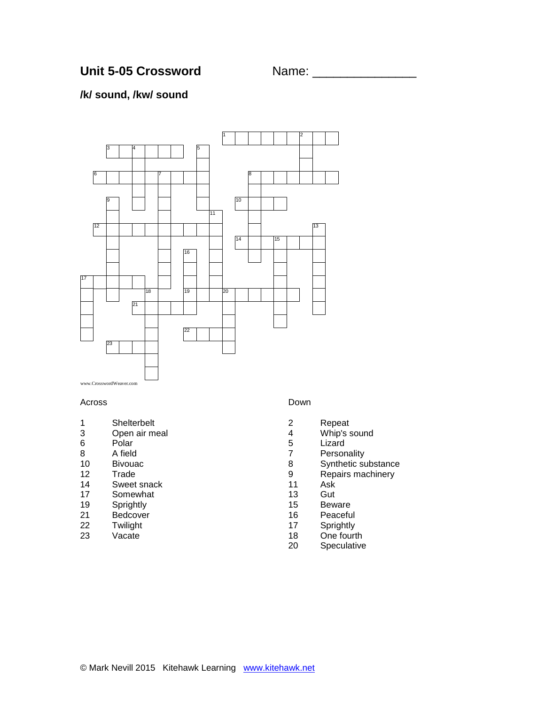## **/k/ sound, /kw/ sound**



#### Across

- Shelterbelt
- Open air meal
- Polar A field
- Bivouac
- 
- 12 Trade<br>14 Sweet Sweet snack
- Somewhat
- Sprightly
- 21 Bedcover<br>22 Twilight
- **Twilight**
- Vacate

#### Down

- Repeat
- Whip's sound
- Lizard
- Personality
- Synthetic substance
- 9 Repairs machinery<br>11 Ask
- Ask
- Gut
- Beware
- 16 Peaceful<br>17 Sprightly
- Sprightly
- One fourth
- Speculative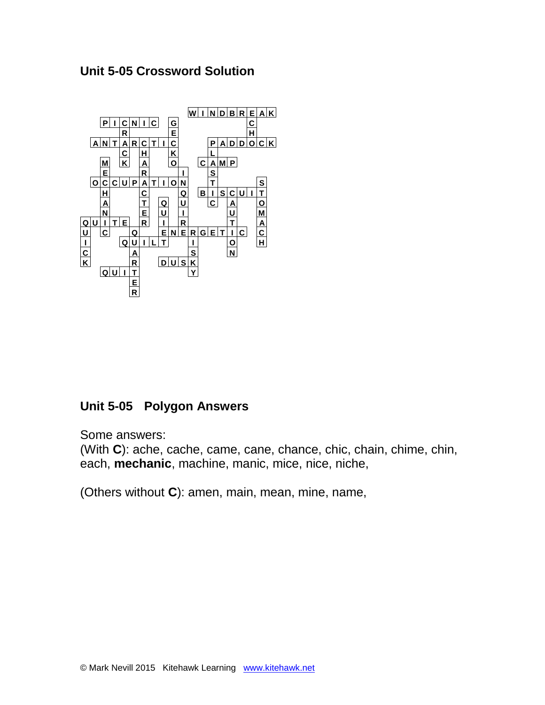# **Unit 5-05 Crossword Solution**



# **Unit 5-05 Polygon Answers**

Some answers:

(With **C**): ache, cache, came, cane, chance, chic, chain, chime, chin, each, **mechanic**, machine, manic, mice, nice, niche,

(Others without **C**): amen, main, mean, mine, name,